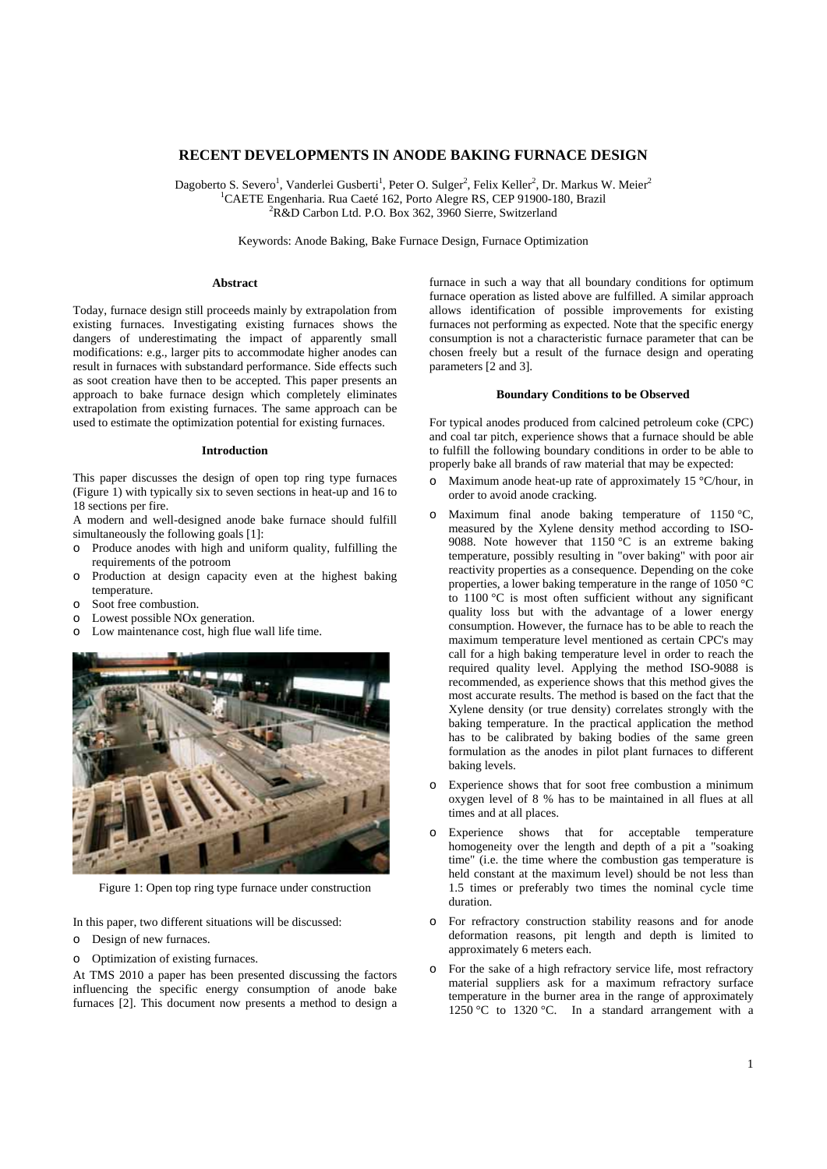## **RECENT DEVELOPMENTS IN ANODE BAKING FURNACE DESIGN**

Dagoberto S. Severo<sup>1</sup>, Vanderlei Gusberti<sup>1</sup>, Peter O. Sulger<sup>2</sup>, Felix Keller<sup>2</sup>, Dr. Markus W. Meier<sup>2</sup> <sup>1</sup>CAETE Engenharia. Rua Caeté 162, Porto Alegre RS, CEP 91900-180, Brazil <sup>2</sup>R&D Carbon Ltd. P.O. Box 362, 3960 Sierre, Switzerland

Keywords: Anode Baking, Bake Furnace Design, Furnace Optimization

# **Abstract**

Today, furnace design still proceeds mainly by extrapolation from existing furnaces. Investigating existing furnaces shows the dangers of underestimating the impact of apparently small modifications: e.g., larger pits to accommodate higher anodes can result in furnaces with substandard performance. Side effects such as soot creation have then to be accepted. This paper presents an approach to bake furnace design which completely eliminates extrapolation from existing furnaces. The same approach can be used to estimate the optimization potential for existing furnaces.

## **Introduction**

This paper discusses the design of open top ring type furnaces (Figure 1) with typically six to seven sections in heat-up and 16 to 18 sections per fire.

A modern and well-designed anode bake furnace should fulfill simultaneously the following goals [1]:

- o Produce anodes with high and uniform quality, fulfilling the requirements of the potroom
- o Production at design capacity even at the highest baking temperature.
- o Soot free combustion.
- o Lowest possible NOx generation.
- o Low maintenance cost, high flue wall life time.



Figure 1: Open top ring type furnace under construction

In this paper, two different situations will be discussed:

- o Design of new furnaces.
- o Optimization of existing furnaces.

At TMS 2010 a paper has been presented discussing the factors influencing the specific energy consumption of anode bake furnaces [2]. This document now presents a method to design a furnace in such a way that all boundary conditions for optimum furnace operation as listed above are fulfilled. A similar approach allows identification of possible improvements for existing furnaces not performing as expected. Note that the specific energy consumption is not a characteristic furnace parameter that can be chosen freely but a result of the furnace design and operating parameters [2 and 3].

## **Boundary Conditions to be Observed**

For typical anodes produced from calcined petroleum coke (CPC) and coal tar pitch, experience shows that a furnace should be able to fulfill the following boundary conditions in order to be able to properly bake all brands of raw material that may be expected:

- o Maximum anode heat-up rate of approximately 15 °C/hour, in order to avoid anode cracking.
- o Maximum final anode baking temperature of 1150 °C, measured by the Xylene density method according to ISO-9088. Note however that 1150 °C is an extreme baking temperature, possibly resulting in "over baking" with poor air reactivity properties as a consequence. Depending on the coke properties, a lower baking temperature in the range of 1050 °C to 1100 °C is most often sufficient without any significant quality loss but with the advantage of a lower energy consumption. However, the furnace has to be able to reach the maximum temperature level mentioned as certain CPC's may call for a high baking temperature level in order to reach the required quality level. Applying the method ISO-9088 is recommended, as experience shows that this method gives the most accurate results. The method is based on the fact that the Xylene density (or true density) correlates strongly with the baking temperature. In the practical application the method has to be calibrated by baking bodies of the same green formulation as the anodes in pilot plant furnaces to different baking levels.
- Experience shows that for soot free combustion a minimum oxygen level of 8 % has to be maintained in all flues at all times and at all places.
- o Experience shows that for acceptable temperature homogeneity over the length and depth of a pit a "soaking time" (i.e. the time where the combustion gas temperature is held constant at the maximum level) should be not less than 1.5 times or preferably two times the nominal cycle time duration.
- o For refractory construction stability reasons and for anode deformation reasons, pit length and depth is limited to approximately 6 meters each.
- o For the sake of a high refractory service life, most refractory material suppliers ask for a maximum refractory surface temperature in the burner area in the range of approximately 1250 °C to 1320 °C. In a standard arrangement with a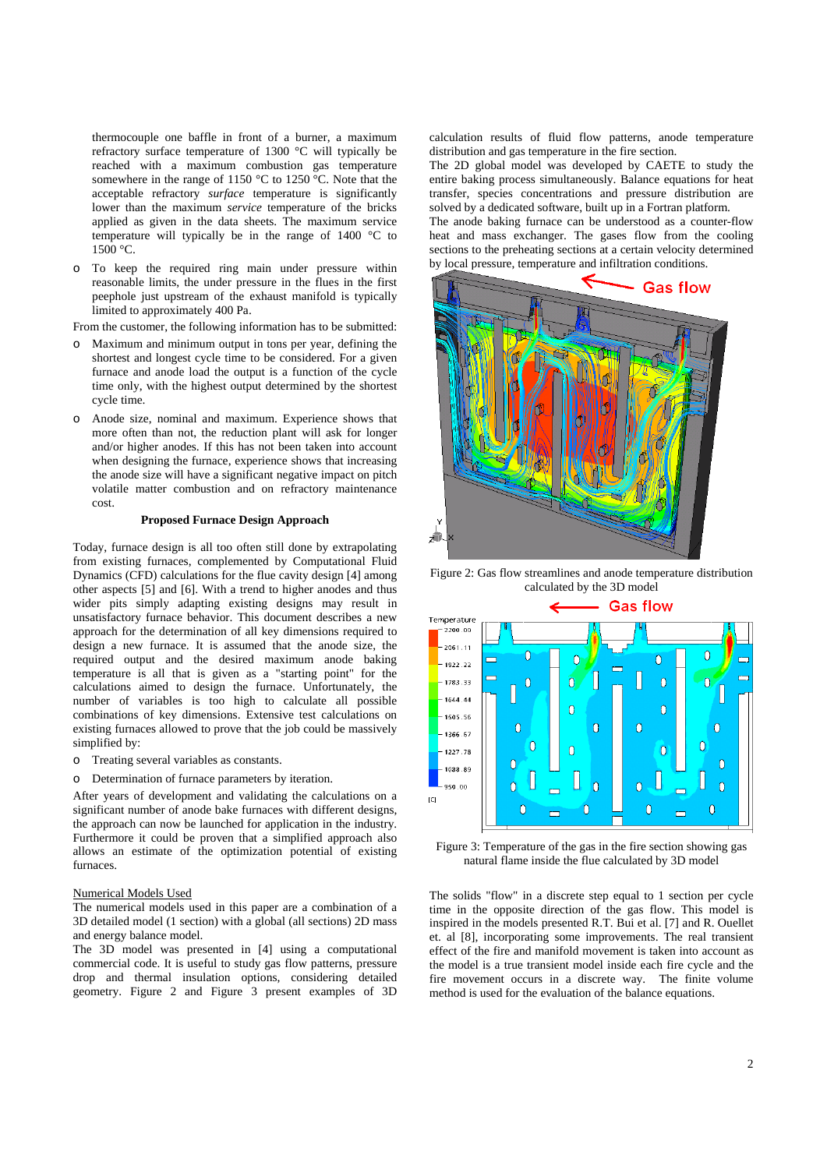thermocouple one baffle in front of a burner, a maximum refractory surface temperature of 1300 °C will typically be reached with a maximum combustion gas temperature somewhere in the range of 1150 °C to 1250 °C. Note that the acceptable refractory *surface* temperature is significantly lower than the maximum *service* temperature of the bricks applied as given in the data sheets. The maximum service temperature will typically be in the range of 1400 °C to 1500 °C.

o To keep the required ring main under pressure within reasonable limits, the under pressure in the flues in the first peephole just upstream of the exhaust manifold is typically limited to approximately 400 Pa.

From the customer, the following information has to be submitted:

- o Maximum and minimum output in tons per year, defining the shortest and longest cycle time to be considered. For a given furnace and anode load the output is a function of the cycle time only, with the highest output determined by the shortest cycle time.
- o Anode size, nominal and maximum. Experience shows that more often than not, the reduction plant will ask for longer and/or higher anodes. If this has not been taken into account when designing the furnace, experience shows that increasing the anode size will have a significant negative impact on pitch volatile matter combustion and on refractory maintenance cost.

#### **Proposed Furnace Design Approach**

Today, furnace design is all too often still done by extrapolating from existing furnaces, complemented by Computational Fluid Dynamics (CFD) calculations for the flue cavity design [4] among other aspects [5] and [6]. With a trend to higher anodes and thus wider pits simply adapting existing designs may result in unsatisfactory furnace behavior. This document describes a new approach for the determination of all key dimensions required to design a new furnace. It is assumed that the anode size, the required output and the desired maximum anode baking temperature is all that is given as a "starting point" for the calculations aimed to design the furnace. Unfortunately, the number of variables is too high to calculate all possible combinations of key dimensions. Extensive test calculations on existing furnaces allowed to prove that the job could be massively simplified by:

- o Treating several variables as constants.
- o Determination of furnace parameters by iteration.

After years of development and validating the calculations on a significant number of anode bake furnaces with different designs, the approach can now be launched for application in the industry. Furthermore it could be proven that a simplified approach also allows an estimate of the optimization potential of existing furnaces.

#### Numerical Models Used

The numerical models used in this paper are a combination of a 3D detailed model (1 section) with a global (all sections) 2D mass and energy balance model.

The 3D model was presented in [4] using a computational commercial code. It is useful to study gas flow patterns, pressure drop and thermal insulation options, considering detailed geometry. Figure 2 and Figure 3 present examples of 3D

calculation results of fluid flow patterns, anode temperature distribution and gas temperature in the fire section.

The 2D global model was developed by CAETE to study the entire baking process simultaneously. Balance equations for heat transfer, species concentrations and pressure distribution are solved by a dedicated software, built up in a Fortran platform.

The anode baking furnace can be understood as a counter-flow heat and mass exchanger. The gases flow from the cooling sections to the preheating sections at a certain velocity determined by local pressure, temperature and infiltration conditions.



Figure 2: Gas flow streamlines and anode temperature distribution calculated by the 3D model



Figure 3: Temperature of the gas in the fire section showing gas natural flame inside the flue calculated by 3D model

The solids "flow" in a discrete step equal to 1 section per cycle time in the opposite direction of the gas flow. This model is inspired in the models presented R.T. Bui et al. [7] and R. Ouellet et. al [8], incorporating some improvements. The real transient effect of the fire and manifold movement is taken into account as the model is a true transient model inside each fire cycle and the fire movement occurs in a discrete way. The finite volume method is used for the evaluation of the balance equations.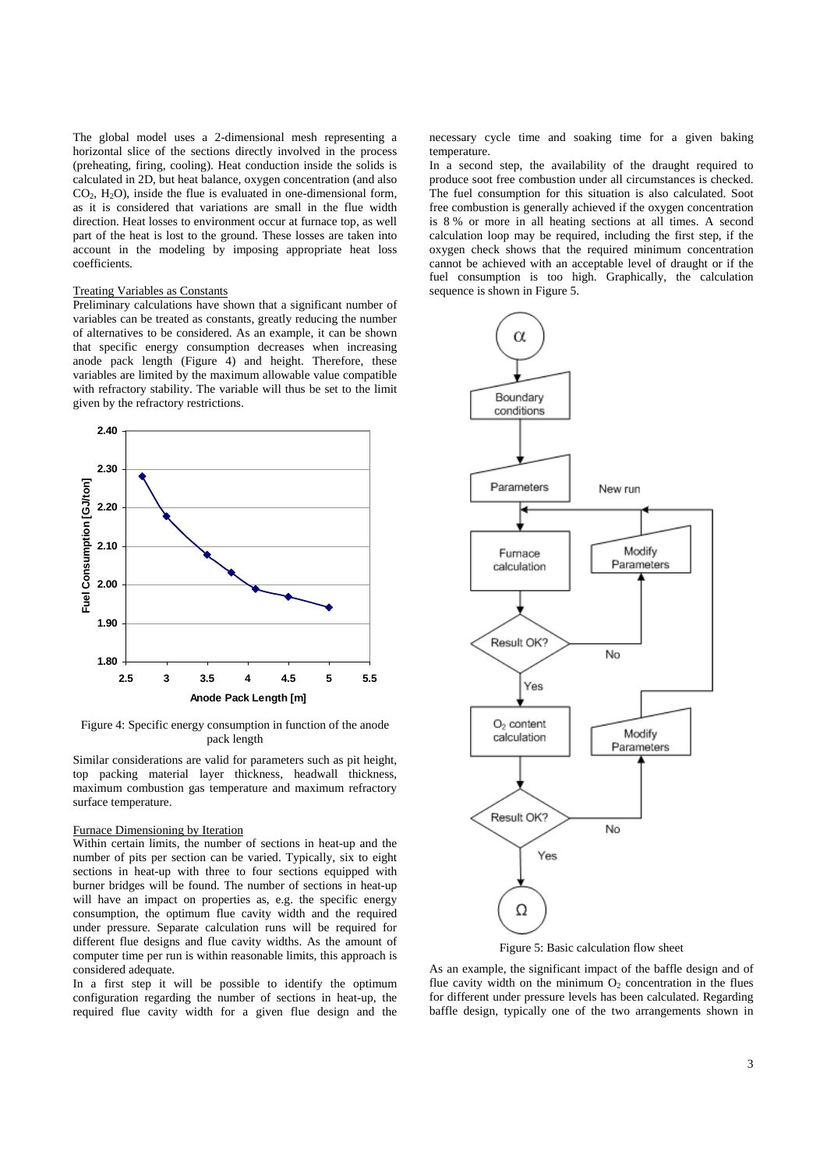The global model uses a 2-dimensional mesh representing a horizontal slice of the sections directly involved in the process (preheating, firing, cooling). Heat conduction inside the solids is calculated in 2D, but heat balance, oxygen concentration (and also  $CO<sub>2</sub>$ ,  $H<sub>2</sub>O$ ), inside the flue is evaluated in one-dimensional form, as it is considered that variations are small in the flue width direction. Heat losses to environment occur at furnace top, as well part of the heat is lost to the ground. These losses are taken into account in the modeling by imposing appropriate heat loss coefficients.

#### Treating Variables as Constants

Preliminary calculations have shown that a significant number of variables can be treated as constants, greatly reducing the number of alternatives to be considered. As an example, it can be shown that specific energy consumption decreases when increasing anode pack length (Figure 4) and height. Therefore, these variables are limited by the maximum allowable value compatible with refractory stability. The variable will thus be set to the limit given by the refractory restrictions.



Figure 4: Specific energy consumption in function of the anode pack length

Similar considerations are valid for parameters such as pit height, top packing material layer thickness, headwall thickness, maximum combustion gas temperature and maximum refractory surface temperature.

#### Furnace Dimensioning by Iteration

Within certain limits, the number of sections in heat-up and the number of pits per section can be varied. Typically, six to eight sections in heat-up with three to four sections equipped with burner bridges will be found. The number of sections in heat-up will have an impact on properties as, e.g. the specific energy consumption, the optimum flue cavity width and the required under pressure. Separate calculation runs will be required for different flue designs and flue cavity widths. As the amount of computer time per run is within reasonable limits, this approach is considered adequate.

In a first step it will be possible to identify the optimum configuration regarding the number of sections in heat-up, the required flue cavity width for a given flue design and the

necessary cycle time and soaking time for a given baking temperature.

In a second step, the availability of the draught required to produce soot free combustion under all circumstances is checked. The fuel consumption for this situation is also calculated. Soot free combustion is generally achieved if the oxygen concentration is 8 % or more in all heating sections at all times. A second calculation loop may be required, including the first step, if the oxygen check shows that the required minimum concentration cannot be achieved with an acceptable level of draught or if the fuel consumption is too high. Graphically, the calculation sequence is shown in Figure 5.





As an example, the significant impact of the baffle design and of flue cavity width on the minimum  $O<sub>2</sub>$  concentration in the flues for different under pressure levels has been calculated. Regarding baffle design, typically one of the two arrangements shown in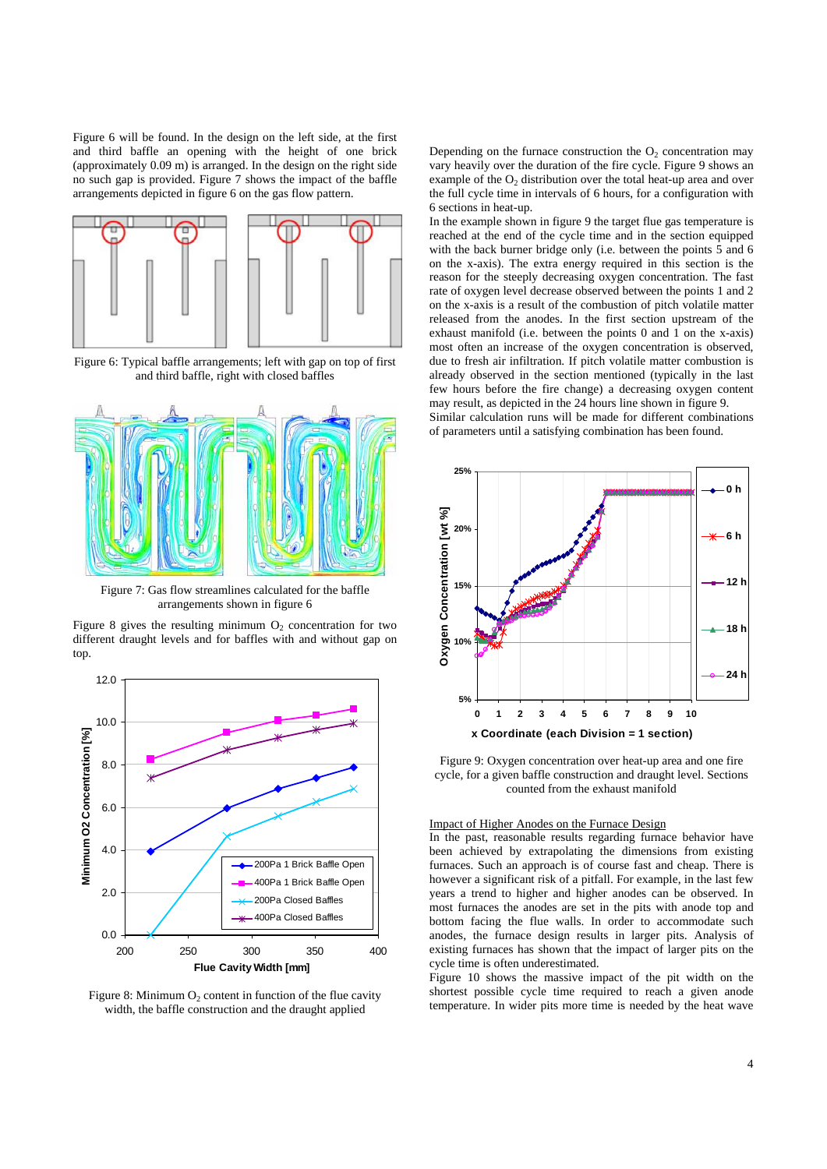Figure 6 will be found. In the design on the left side, at the first and third baffle an opening with the height of one brick (approximately 0.09 m) is arranged. In the design on the right side no such gap is provided. Figure 7 shows the impact of the baffle arrangements depicted in figure 6 on the gas flow pattern.



Figure 6: Typical baffle arrangements; left with gap on top of first and third baffle, right with closed baffles



Figure 7: Gas flow streamlines calculated for the baffle arrangements shown in figure 6

Figure 8 gives the resulting minimum  $O_2$  concentration for two different draught levels and for baffles with and without gap on top.



Figure 8: Minimum  $O_2$  content in function of the flue cavity width, the baffle construction and the draught applied

Depending on the furnace construction the  $O<sub>2</sub>$  concentration may vary heavily over the duration of the fire cycle. Figure 9 shows an example of the  $O<sub>2</sub>$  distribution over the total heat-up area and over the full cycle time in intervals of 6 hours, for a configuration with 6 sections in heat-up.

In the example shown in figure 9 the target flue gas temperature is reached at the end of the cycle time and in the section equipped with the back burner bridge only (i.e. between the points 5 and 6 on the x-axis). The extra energy required in this section is the reason for the steeply decreasing oxygen concentration. The fast rate of oxygen level decrease observed between the points 1 and 2 on the x-axis is a result of the combustion of pitch volatile matter released from the anodes. In the first section upstream of the exhaust manifold (i.e. between the points 0 and 1 on the x-axis) most often an increase of the oxygen concentration is observed, due to fresh air infiltration. If pitch volatile matter combustion is already observed in the section mentioned (typically in the last few hours before the fire change) a decreasing oxygen content may result, as depicted in the 24 hours line shown in figure 9. Similar calculation runs will be made for different combinations

of parameters until a satisfying combination has been found.



Figure 9: Oxygen concentration over heat-up area and one fire cycle, for a given baffle construction and draught level. Sections counted from the exhaust manifold

#### Impact of Higher Anodes on the Furnace Design

In the past, reasonable results regarding furnace behavior have been achieved by extrapolating the dimensions from existing furnaces. Such an approach is of course fast and cheap. There is however a significant risk of a pitfall. For example, in the last few years a trend to higher and higher anodes can be observed. In most furnaces the anodes are set in the pits with anode top and bottom facing the flue walls. In order to accommodate such anodes, the furnace design results in larger pits. Analysis of existing furnaces has shown that the impact of larger pits on the cycle time is often underestimated.

Figure 10 shows the massive impact of the pit width on the shortest possible cycle time required to reach a given anode temperature. In wider pits more time is needed by the heat wave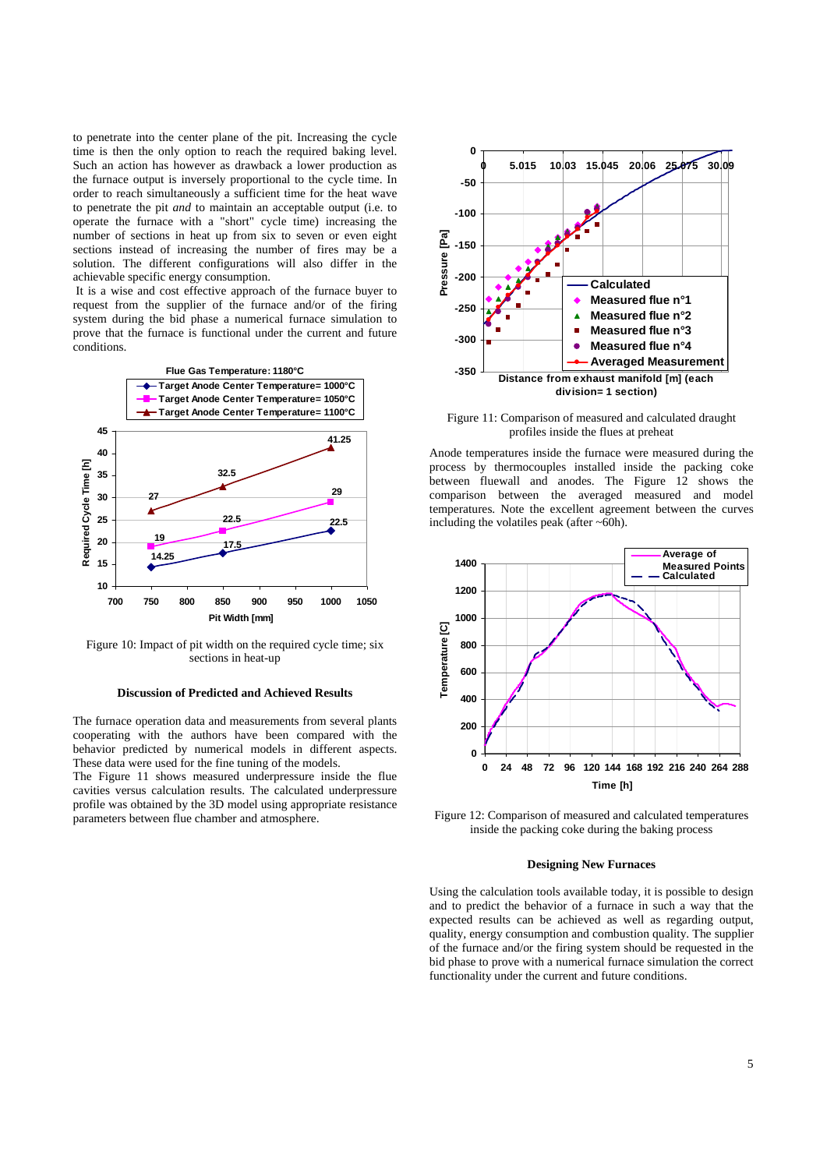to penetrate into the center plane of the pit. Increasing the cycle time is then the only option to reach the required baking level. Such an action has however as drawback a lower production as the furnace output is inversely proportional to the cycle time. In order to reach simultaneously a sufficient time for the heat wave to penetrate the pit *and* to maintain an acceptable output (i.e. to operate the furnace with a "short" cycle time) increasing the number of sections in heat up from six to seven or even eight sections instead of increasing the number of fires may be a solution. The different configurations will also differ in the achievable specific energy consumption.

 It is a wise and cost effective approach of the furnace buyer to request from the supplier of the furnace and/or of the firing system during the bid phase a numerical furnace simulation to prove that the furnace is functional under the current and future conditions.



Figure 10: Impact of pit width on the required cycle time; six sections in heat-up

## **Discussion of Predicted and Achieved Results**

The furnace operation data and measurements from several plants cooperating with the authors have been compared with the behavior predicted by numerical models in different aspects. These data were used for the fine tuning of the models.

The Figure 11 shows measured underpressure inside the flue cavities versus calculation results. The calculated underpressure profile was obtained by the 3D model using appropriate resistance parameters between flue chamber and atmosphere.



Figure 11: Comparison of measured and calculated draught profiles inside the flues at preheat

Anode temperatures inside the furnace were measured during the process by thermocouples installed inside the packing coke between fluewall and anodes. The Figure 12 shows the comparison between the averaged measured and model temperatures. Note the excellent agreement between the curves including the volatiles peak (after  $~60h$ ).



Figure 12: Comparison of measured and calculated temperatures inside the packing coke during the baking process

#### **Designing New Furnaces**

Using the calculation tools available today, it is possible to design and to predict the behavior of a furnace in such a way that the expected results can be achieved as well as regarding output, quality, energy consumption and combustion quality. The supplier of the furnace and/or the firing system should be requested in the bid phase to prove with a numerical furnace simulation the correct functionality under the current and future conditions.